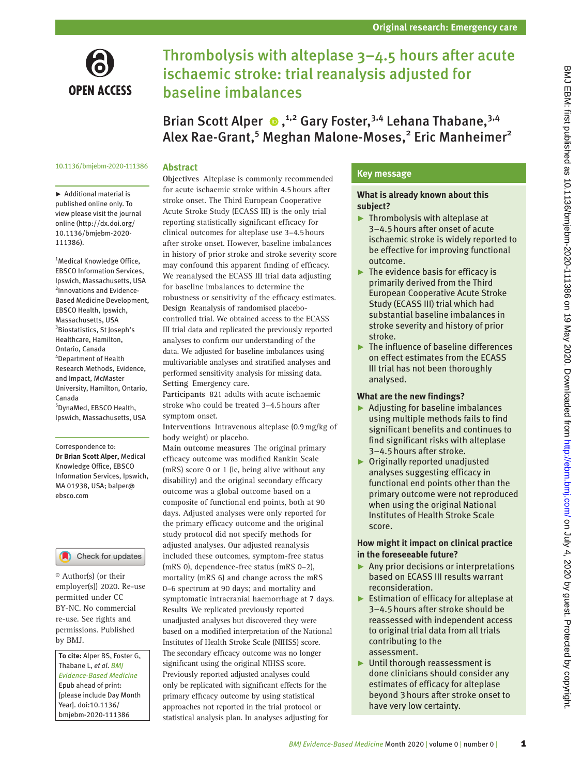

# Thrombolysis with alteplase 3–4.5 hours after acute ischaemic stroke: trial reanalysis adjusted for baseline imbalances

Brian Scott Alper  $\bullet$ ,<sup>1,2</sup> Gary Foster,<sup>3,4</sup> Lehana Thabane,<sup>3,4</sup> Alex Rae-Grant,<sup>5</sup> Meghan Malone-Moses,<sup>2</sup> Eric Manheimer<sup>2</sup>

#### 10.1136/bmjebm-2020-111386

#### **Abstract**

► Additional material is published online only. To view please visit the journal online (http://dx.doi.org/ 10.1136/bmjebm-2020- 111386).

<sup>1</sup>Medical Knowledge Office, EBSCO Information Services, Ipswich, Massachusetts, USA <sup>2</sup>Innovations and Evidence-Based Medicine Development, EBSCO Health, Ipswich, Massachusetts, USA 3 Biostatistics, St Joseph's Healthcare, Hamilton, Ontario, Canada 4 Department of Health Research Methods, Evidence, and Impact, McMaster University, Hamilton, Ontario, Canada

5 DynaMed, EBSCO Health, Ipswich, Massachusetts, USA

Correspondence to: *Dr Brian Scott Alper,* Medical Knowledge Office, EBSCO Information Services, Ipswich, MA 01938, USA; balper@ ebsco.com

Check for updates

© Author(s) (or their employer(s)) 2020. Re-use permitted under CC BY-NC. No commercial re-use. See rights and permissions. Published by BMJ.

*To cite:* Alper BS, Foster G, Thabane L, *et al*. *BMJ Evidence-Based Medicine* Epub ahead of print: [please include Day Month Year]. doi:10.1136/ bmjebm-2020-111386

**Objectives** Alteplase is commonly recommended for acute ischaemic stroke within 4.5hours after stroke onset. The Third European Cooperative Acute Stroke Study (ECASS III) is the only trial reporting statistically significant efficacy for clinical outcomes for alteplase use 3–4.5hours after stroke onset. However, baseline imbalances in history of prior stroke and stroke severity score may confound this apparent finding of efficacy. We reanalysed the ECASS III trial data adjusting for baseline imbalances to determine the robustness or sensitivity of the efficacy estimates. **Design** Reanalysis of randomised placebocontrolled trial. We obtained access to the ECASS III trial data and replicated the previously reported analyses to confirm our understanding of the data. We adjusted for baseline imbalances using multivariable analyses and stratified analyses and performed sensitivity analysis for missing data. **Setting** Emergency care.

**Participants** 821 adults with acute ischaemic stroke who could be treated 3–4.5hours after symptom onset.

**Interventions** Intravenous alteplase (0.9mg/kg of body weight) or placebo.

**Main outcome measures** The original primary efficacy outcome was modified Rankin Scale (mRS) score 0 or 1 (ie, being alive without any disability) and the original secondary efficacy outcome was a global outcome based on a composite of functional end points, both at 90 days. Adjusted analyses were only reported for the primary efficacy outcome and the original study protocol did not specify methods for adjusted analyses. Our adjusted reanalysis included these outcomes, symptom-free status (mRS 0), dependence-free status (mRS 0–2), mortality (mRS 6) and change across the mRS 0–6 spectrum at 90 days; and mortality and symptomatic intracranial haemorrhage at 7 days. **Results** We replicated previously reported unadjusted analyses but discovered they were based on a modified interpretation of the National Institutes of Health Stroke Scale (NIHSS) score. The secondary efficacy outcome was no longer significant using the original NIHSS score. Previously reported adjusted analyses could only be replicated with significant effects for the primary efficacy outcome by using statistical approaches not reported in the trial protocol or statistical analysis plan. In analyses adjusting for

# **Key message**

#### **What is already known about this subject?**

- ► Thrombolysis with alteplase at 3–4.5hours after onset of acute ischaemic stroke is widely reported to be effective for improving functional outcome.
- ► The evidence basis for efficacy is primarily derived from the Third European Cooperative Acute Stroke Study (ECASS III) trial which had substantial baseline imbalances in stroke severity and history of prior stroke.
- ► The influence of baseline differences on effect estimates from the ECASS III trial has not been thoroughly analysed.

#### **What are the new findings?**

- ► Adjusting for baseline imbalances using multiple methods fails to find significant benefits and continues to find significant risks with alteplase 3–4.5hours after stroke.
- ► Originally reported unadjusted analyses suggesting efficacy in functional end points other than the primary outcome were not reproduced when using the original National Institutes of Health Stroke Scale score.

# **How might it impact on clinical practice in the foreseeable future?**

- ► Any prior decisions or interpretations based on ECASS III results warrant reconsideration.
- ► Estimation of efficacy for alteplase at 3–4.5hours after stroke should be reassessed with independent access to original trial data from all trials contributing to the assessment.
- ► Until thorough reassessment is done clinicians should consider any estimates of efficacy for alteplase beyond 3hours after stroke onset to have very low certainty.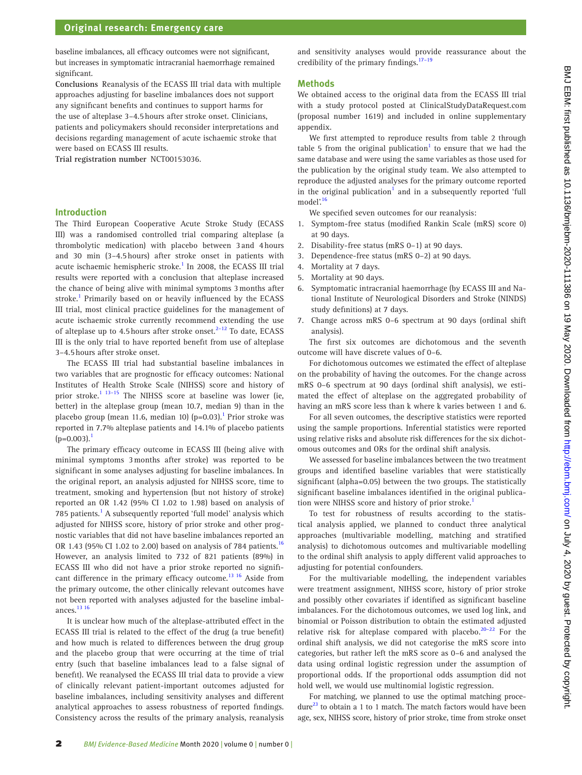baseline imbalances, all efficacy outcomes were not significant, but increases in symptomatic intracranial haemorrhage remained significant.

**Conclusions** Reanalysis of the ECASS III trial data with multiple approaches adjusting for baseline imbalances does not support any significant benefits and continues to support harms for the use of alteplase 3–4.5hours after stroke onset. Clinicians, patients and policymakers should reconsider interpretations and decisions regarding management of acute ischaemic stroke that were based on ECASS III results.

**Trial registration number** <NCT00153036>.

#### **Introduction**

The Third European Cooperative Acute Stroke Study (ECASS III) was a randomised controlled trial comparing alteplase (a thrombolytic medication) with placebo between 3and 4hours and 30 min (3–4.5hours) after stroke onset in patients with acute ischaemic hemispheric stroke.<sup>1</sup> In 2008, the ECASS III trial results were reported with a conclusion that alteplase increased the chance of being alive with minimal symptoms 3months after stroke.<sup>1</sup> Primarily based on or heavily influenced by the ECASS III trial, most clinical practice guidelines for the management of acute ischaemic stroke currently recommend extending the use of alteplase up to 4.5 hours after stroke onset. $2-12$  To date, ECASS III is the only trial to have reported benefit from use of alteplase 3–4.5hours after stroke onset.

The ECASS III trial had substantial baseline imbalances in two variables that are prognostic for efficacy outcomes: National Institutes of Health Stroke Scale (NIHSS) score and history of prior stroke.<sup>[1 13–15](#page-6-0)</sup> The NIHSS score at baseline was lower (ie, better) in the alteplase group (mean 10.7, median 9) than in the placebo group (mean 11.6, median 10) (p=0.03).<sup>1</sup> Prior stroke was reported in 7.7% alteplase patients and 14.1% of placebo patients  $(p=0.003)$ .<sup>1</sup>

The primary efficacy outcome in ECASS III (being alive with minimal symptoms 3months after stroke) was reported to be significant in some analyses adjusting for baseline imbalances. In the original report, an analysis adjusted for NIHSS score, time to treatment, smoking and hypertension (but not history of stroke) reported an OR 1.42 (95% CI 1.02 to 1.98) based on analysis of 785 patients.<sup>[1](#page-6-0)</sup> A subsequently reported 'full model' analysis which adjusted for NIHSS score, history of prior stroke and other prognostic variables that did not have baseline imbalances reported an OR 1.43 (95% CI 1.02 to 2.00) based on analysis of 784 patients.<sup>[16](#page-7-0)</sup> However, an analysis limited to 732 of 821 patients (89%) in ECASS III who did not have a prior stroke reported no significant difference in the primary efficacy outcome.<sup>13 16</sup> Aside from the primary outcome, the other clinically relevant outcomes have not been reported with analyses adjusted for the baseline imbalances.<sup>13</sup> 16

It is unclear how much of the alteplase-attributed effect in the ECASS III trial is related to the effect of the drug (a true benefit) and how much is related to differences between the drug group and the placebo group that were occurring at the time of trial entry (such that baseline imbalances lead to a false signal of benefit). We reanalysed the ECASS III trial data to provide a view of clinically relevant patient-important outcomes adjusted for baseline imbalances, including sensitivity analyses and different analytical approaches to assess robustness of reported findings. Consistency across the results of the primary analysis, reanalysis and sensitivity analyses would provide reassurance about the credibility of the primary findings. $17-19$ 

#### **Methods**

We obtained access to the original data from the ECASS III trial with a study protocol posted at ClinicalStudyDataRequest.com (proposal number 1619) and included in [online supplementary](https://dx.doi.org/10.1136/bmjebm-2020-111386)  [appendix.](https://dx.doi.org/10.1136/bmjebm-2020-111386)

We first attempted to reproduce results from table 2 through table 5 from the original publication<sup>[1](#page-6-0)</sup> to ensure that we had the same database and were using the same variables as those used for the publication by the original study team. We also attempted to reproduce the adjusted analyses for the primary outcome reported in the original publication<sup>[1](#page-6-0)</sup> and in a subsequently reported 'full model $\frac{16}{16}$  $\frac{16}{16}$  $\frac{16}{16}$ 

We specified seven outcomes for our reanalysis:

- 1. Symptom-free status (modified Rankin Scale (mRS) score 0) at 90 days.
- 2. Disability-free status (mRS 0–1) at 90 days.
- 3. Dependence-free status (mRS 0–2) at 90 days.
- 4. Mortality at 7 days.
- 5. Mortality at 90 days.
- 6. Symptomatic intracranial haemorrhage (by ECASS III and National Institute of Neurological Disorders and Stroke (NINDS) study definitions) at 7 days.
- 7. Change across mRS 0–6 spectrum at 90 days (ordinal shift analysis).

The first six outcomes are dichotomous and the seventh outcome will have discrete values of 0–6.

For dichotomous outcomes we estimated the effect of alteplase on the probability of having the outcomes. For the change across mRS 0–6 spectrum at 90 days (ordinal shift analysis), we estimated the effect of alteplase on the aggregated probability of having an mRS score less than k where k varies between 1 and 6.

For all seven outcomes, the descriptive statistics were reported using the sample proportions. Inferential statistics were reported using relative risks and absolute risk differences for the six dichotomous outcomes and ORs for the ordinal shift analysis.

We assessed for baseline imbalances between the two treatment groups and identified baseline variables that were statistically significant (alpha=0.05) between the two groups. The statistically significant baseline imbalances identified in the original publica-tion were NIHSS score and history of prior stroke.<sup>[1](#page-6-0)</sup>

To test for robustness of results according to the statistical analysis applied, we planned to conduct three analytical approaches (multivariable modelling, matching and stratified analysis) to dichotomous outcomes and multivariable modelling to the ordinal shift analysis to apply different valid approaches to adjusting for potential confounders.

For the multivariable modelling, the independent variables were treatment assignment, NIHSS score, history of prior stroke and possibly other covariates if identified as significant baseline imbalances. For the dichotomous outcomes, we used log link, and binomial or Poisson distribution to obtain the estimated adjusted relative risk for alteplase compared with placebo.<sup>20-22</sup> For the ordinal shift analysis, we did not categorise the mRS score into categories, but rather left the mRS score as 0–6 and analysed the data using ordinal logistic regression under the assumption of proportional odds. If the proportional odds assumption did not hold well, we would use multinomial logistic regression.

For matching, we planned to use the optimal matching procedure $^{23}$  to obtain a 1 to 1 match. The match factors would have been age, sex, NIHSS score, history of prior stroke, time from stroke onset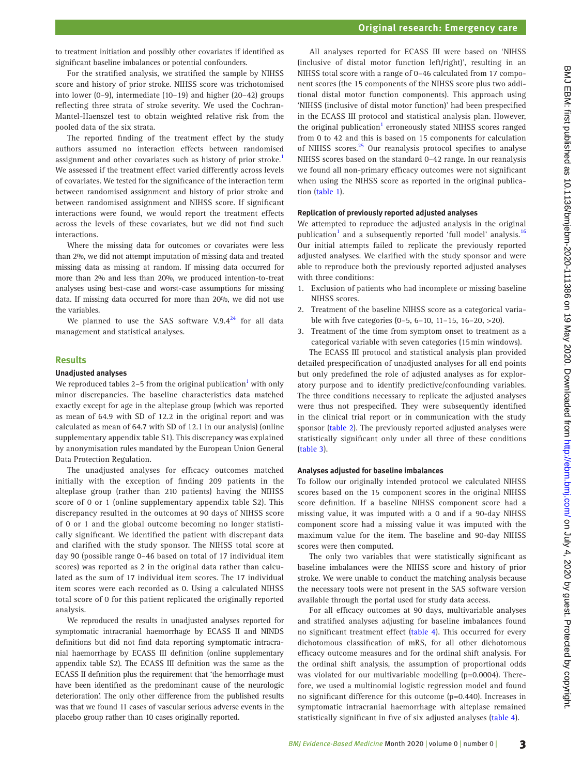to treatment initiation and possibly other covariates if identified as significant baseline imbalances or potential confounders.

For the stratified analysis, we stratified the sample by NIHSS score and history of prior stroke. NIHSS score was trichotomised into lower (0–9), intermediate (10–19) and higher (20–42) groups reflecting three strata of stroke severity. We used the Cochran-Mantel-Haenszel test to obtain weighted relative risk from the pooled data of the six strata.

The reported finding of the treatment effect by the study authors assumed no interaction effects between randomised assignment and other covariates such as history of prior stroke.<sup>[1](#page-6-0)</sup> We assessed if the treatment effect varied differently across levels of covariates. We tested for the significance of the interaction term between randomised assignment and history of prior stroke and between randomised assignment and NIHSS score. If significant interactions were found, we would report the treatment effects across the levels of these covariates, but we did not find such interactions.

Where the missing data for outcomes or covariates were less than 2%, we did not attempt imputation of missing data and treated missing data as missing at random. If missing data occurred for more than 2% and less than 20%, we produced intention-to-treat analyses using best-case and worst-case assumptions for missing data. If missing data occurred for more than 20%, we did not use the variables.

We planned to use the SAS software V.9.4 $^{24}$  $^{24}$  $^{24}$  for all data management and statistical analyses.

### **Results**

#### **Unadjusted analyses**

We reproduced tables 2–5 from the original publication $^{\rm l}$  with only minor discrepancies. The baseline characteristics data matched exactly except for age in the alteplase group (which was reported as mean of 64.9 with SD of 12.2 in the original report and was calculated as mean of 64.7 with SD of 12.1 in our analysis) [\(online](https://dx.doi.org/10.1136/bmjebm-2020-111386)  [supplementary appendix table S1\)](https://dx.doi.org/10.1136/bmjebm-2020-111386). This discrepancy was explained by anonymisation rules mandated by the European Union General Data Protection Regulation.

The unadjusted analyses for efficacy outcomes matched initially with the exception of finding 209 patients in the alteplase group (rather than 210 patients) having the NIHSS score of 0 or 1 ([online supplementary appendix table S2\)](https://dx.doi.org/10.1136/bmjebm-2020-111386). This discrepancy resulted in the outcomes at 90 days of NIHSS score of 0 or 1 and the global outcome becoming no longer statistically significant. We identified the patient with discrepant data and clarified with the study sponsor. The NIHSS total score at day 90 (possible range 0–46 based on total of 17 individual item scores) was reported as 2 in the original data rather than calculated as the sum of 17 individual item scores. The 17 individual item scores were each recorded as 0. Using a calculated NIHSS total score of 0 for this patient replicated the originally reported analysis.

We reproduced the results in unadjusted analyses reported for symptomatic intracranial haemorrhage by ECASS II and NINDS definitions but did not find data reporting symptomatic intracranial haemorrhage by ECASS III definition [\(online supplementary](https://dx.doi.org/10.1136/bmjebm-2020-111386)  [appendix table S2\)](https://dx.doi.org/10.1136/bmjebm-2020-111386). The ECASS III definition was the same as the ECASS II definition plus the requirement that 'the hemorrhage must have been identified as the predominant cause of the neurologic deterioration'. The only other difference from the published results was that we found 11 cases of vascular serious adverse events in the placebo group rather than 10 cases originally reported.

All analyses reported for ECASS III were based on 'NIHSS (inclusive of distal motor function left/right)', resulting in an NIHSS total score with a range of 0–46 calculated from 17 component scores (the 15 components of the NIHSS score plus two additional distal motor function components). This approach using 'NIHSS (inclusive of distal motor function)' had been prespecified in the ECASS III protocol and statistical analysis plan. However, the original publication<sup>[1](#page-6-0)</sup> erroneously stated NIHSS scores ranged from 0 to 42 and this is based on 15 components for calculation of NIHSS scores.<sup>25</sup> Our reanalysis protocol specifies to analyse NIHSS scores based on the standard 0–42 range. In our reanalysis we found all non-primary efficacy outcomes were not significant when using the NIHSS score as reported in the original publication ([table 1\)](#page-3-0).

#### **Replication of previously reported adjusted analyses**

We attempted to reproduce the adjusted analysis in the original publication<sup>[1](#page-6-0)</sup> and a subsequently reported 'full model' analysis.<sup>[16](#page-7-0)</sup> Our initial attempts failed to replicate the previously reported adjusted analyses. We clarified with the study sponsor and were able to reproduce both the previously reported adjusted analyses with three conditions:

- 1. Exclusion of patients who had incomplete or missing baseline NIHSS scores.
- 2. Treatment of the baseline NIHSS score as a categorical variable with five categories (0–5, 6–10, 11–15, 16–20, >20).
- 3. Treatment of the time from symptom onset to treatment as a categorical variable with seven categories (15min windows).

The ECASS III protocol and statistical analysis plan provided detailed prespecification of unadjusted analyses for all end points but only predefined the role of adjusted analyses as for exploratory purpose and to identify predictive/confounding variables. The three conditions necessary to replicate the adjusted analyses were thus not prespecified. They were subsequently identified in the clinical trial report or in communication with the study sponsor [\(table 2\)](#page-3-1). The previously reported adjusted analyses were statistically significant only under all three of these conditions [\(table 3](#page-4-0)).

#### **Analyses adjusted for baseline imbalances**

To follow our originally intended protocol we calculated NIHSS scores based on the 15 component scores in the original NIHSS score definition. If a baseline NIHSS component score had a missing value, it was imputed with a 0 and if a 90-day NIHSS component score had a missing value it was imputed with the maximum value for the item. The baseline and 90-day NIHSS scores were then computed.

The only two variables that were statistically significant as baseline imbalances were the NIHSS score and history of prior stroke. We were unable to conduct the matching analysis because the necessary tools were not present in the SAS software version available through the portal used for study data access.

For all efficacy outcomes at 90 days, multivariable analyses and stratified analyses adjusting for baseline imbalances found no significant treatment effect ([table 4\)](#page-5-0). This occurred for every dichotomous classification of mRS, for all other dichotomous efficacy outcome measures and for the ordinal shift analysis. For the ordinal shift analysis, the assumption of proportional odds was violated for our multivariable modelling (p=0.0004). Therefore, we used a multinomial logistic regression model and found no significant difference for this outcome (p=0.440). Increases in symptomatic intracranial haemorrhage with alteplase remained statistically significant in five of six adjusted analyses [\(table 4](#page-5-0)).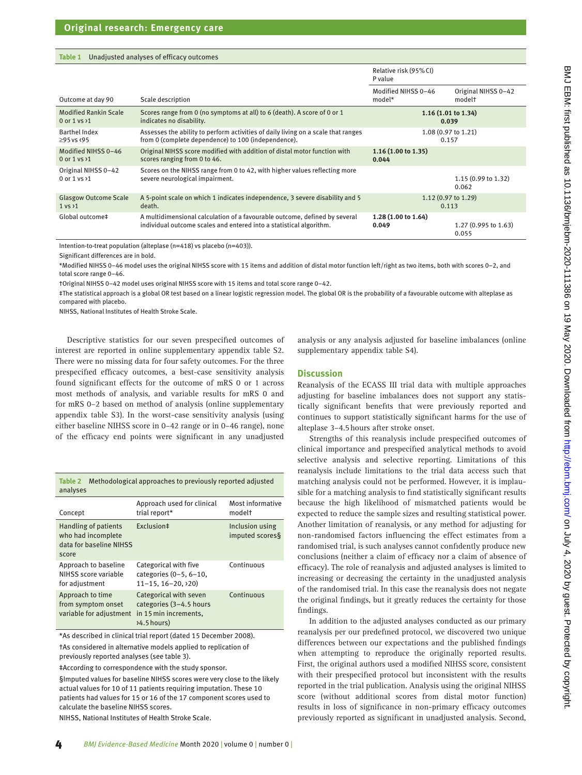#### <span id="page-3-0"></span>**Table 1** Unadjusted analyses of efficacy outcomes

|                              |                                                                                   | Relative risk (95% CI)<br>P value |                               |
|------------------------------|-----------------------------------------------------------------------------------|-----------------------------------|-------------------------------|
| Outcome at day 90            | Scale description                                                                 | Modified NIHSS 0-46<br>model*     | Original NIHSS 0-42<br>modelt |
| <b>Modified Rankin Scale</b> | Scores range from 0 (no symptoms at all) to 6 (death). A score of 0 or 1          |                                   | 1.16(1.01 to 1.34)            |
| 0 or $1$ vs $\times$ 1       | indicates no disability.                                                          |                                   | 0.039                         |
| <b>Barthel Index</b>         | Assesses the ability to perform activities of daily living on a scale that ranges |                                   | 1.08 (0.97 to 1.21)           |
| $\geq$ 95 vs <95             | from 0 (complete dependence) to 100 (independence).                               |                                   | 0.157                         |
| Modified NIHSS 0-46          | Original NIHSS score modified with addition of distal motor function with         | 1.16(1.00 to 1.35)                |                               |
| 0 or $1$ vs $\times 1$       | scores ranging from 0 to 46.                                                      | 0.044                             |                               |
| Original NIHSS 0-42          | Scores on the NIHSS range from 0 to 42, with higher values reflecting more        |                                   | $1.15(0.99 \text{ to } 1.32)$ |
| 0 or 1 vs >1                 | severe neurological impairment.                                                   |                                   | 0.062                         |
| <b>Glasgow Outcome Scale</b> | A 5-point scale on which 1 indicates independence, 3 severe disability and 5      |                                   | $1.12(0.97 \text{ to } 1.29)$ |
| $1$ vs $\times$ 1            | death.                                                                            |                                   | 0.113                         |
| Global outcome‡              | A multidimensional calculation of a favourable outcome, defined by several        | 1.28 (1.00 to 1.64)               | 1.27 (0.995 to 1.63)          |
|                              | individual outcome scales and entered into a statistical algorithm.               | 0.049                             | 0.055                         |

Intention-to-treat population (alteplase (n=418) vs placebo (n=403)).

Significant differences are in bold.

\*Modified NIHSS 0–46 model uses the original NIHSS score with 15 items and addition of distal motor function left/right as two items, both with scores 0–2, and total score range 0–46.

†Original NIHSS 0–42 model uses original NIHSS score with 15 items and total score range 0–42.

‡The statistical approach is a global OR test based on a linear logistic regression model. The global OR is the probability of a favourable outcome with alteplase as compared with placebo.

NIHSS, National Institutes of Health Stroke Scale.

Descriptive statistics for our seven prespecified outcomes of interest are reported in [online supplementary appendix table S2.](https://dx.doi.org/10.1136/bmjebm-2020-111386) There were no missing data for four safety outcomes. For the three prespecified efficacy outcomes, a best-case sensitivity analysis found significant effects for the outcome of mRS 0 or 1 across most methods of analysis, and variable results for mRS 0 and for mRS 0–2 based on method of analysis [\(online supplementary](https://dx.doi.org/10.1136/bmjebm-2020-111386)  [appendix table S3\)](https://dx.doi.org/10.1136/bmjebm-2020-111386). In the worst-case sensitivity analysis (using either baseline NIHSS score in 0–42 range or in 0–46 range), none of the efficacy end points were significant in any unadjusted

<span id="page-3-1"></span>

| Table 2<br>analyses | Methodological approaches to previously reported adjusted |                     |
|---------------------|-----------------------------------------------------------|---------------------|
|                     | Annroach used for clinical                                | $M$ oct informative |

| Concept                                                                               | Approach used for clinical<br>trial report*                                                 | Most informative<br>modelt         |
|---------------------------------------------------------------------------------------|---------------------------------------------------------------------------------------------|------------------------------------|
| <b>Handling of patients</b><br>who had incomplete<br>data for baseline NIHSS<br>score | Exclusion#                                                                                  | Inclusion using<br>imputed scores§ |
| Approach to baseline<br>NIHSS score variable<br>for adjustment                        | Categorical with five<br>categories $(0-5, 6-10,$<br>$11 - 15$ , $16 - 20$ , $20$ )         | Continuous                         |
| Approach to time<br>from symptom onset<br>variable for adjustment                     | Categorical with seven<br>categories (3-4.5 hours<br>in 15 min increments,<br>$54.5$ hours) | Continuous                         |

\*As described in clinical trial report (dated 15 December 2008). †As considered in alternative models applied to replication of previously reported analyses (see [table 3\)](#page-4-0).

‡According to correspondence with the study sponsor.

§Imputed values for baseline NIHSS scores were very close to the likely actual values for 10 of 11 patients requiring imputation. These 10 patients had values for 15 or 16 of the 17 component scores used to calculate the baseline NIHSS scores.

NIHSS, National Institutes of Health Stroke Scale.

analysis or any analysis adjusted for baseline imbalances [\(online](https://dx.doi.org/10.1136/bmjebm-2020-111386)  [supplementary appendix table S4\)](https://dx.doi.org/10.1136/bmjebm-2020-111386).

#### **Discussion**

Reanalysis of the ECASS III trial data with multiple approaches adjusting for baseline imbalances does not support any statistically significant benefits that were previously reported and continues to support statistically significant harms for the use of alteplase 3–4.5hours after stroke onset.

Strengths of this reanalysis include prespecified outcomes of clinical importance and prespecified analytical methods to avoid selective analysis and selective reporting. Limitations of this reanalysis include limitations to the trial data access such that matching analysis could not be performed. However, it is implausible for a matching analysis to find statistically significant results because the high likelihood of mismatched patients would be expected to reduce the sample sizes and resulting statistical power. Another limitation of reanalysis, or any method for adjusting for non-randomised factors influencing the effect estimates from a randomised trial, is such analyses cannot confidently produce new conclusions (neither a claim of efficacy nor a claim of absence of efficacy). The role of reanalysis and adjusted analyses is limited to increasing or decreasing the certainty in the unadjusted analysis of the randomised trial. In this case the reanalysis does not negate the original findings, but it greatly reduces the certainty for those findings.

In addition to the adjusted analyses conducted as our primary reanalysis per our predefined protocol, we discovered two unique differences between our expectations and the published findings when attempting to reproduce the originally reported results. First, the original authors used a modified NIHSS score, consistent with their prespecified protocol but inconsistent with the results reported in the trial publication. Analysis using the original NIHSS score (without additional scores from distal motor function) results in loss of significance in non-primary efficacy outcomes previously reported as significant in unadjusted analysis. Second,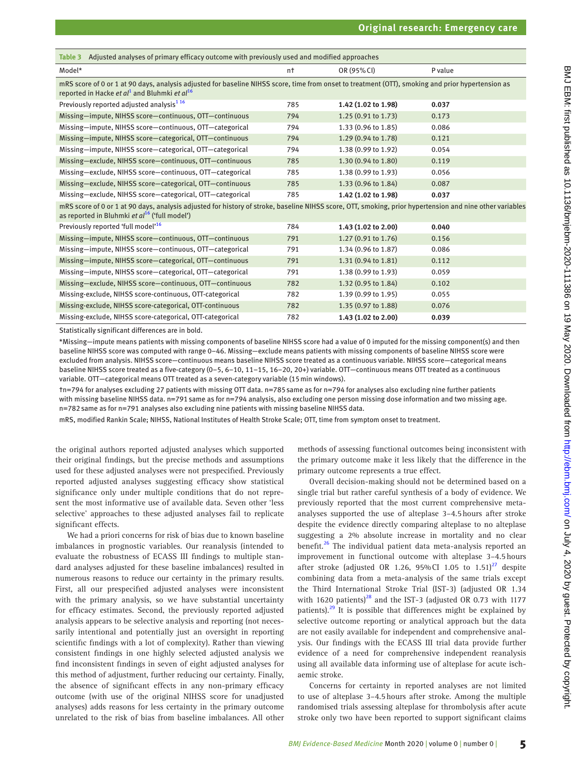<span id="page-4-0"></span>

| Adjusted analyses of primary efficacy outcome with previously used and modified approaches<br>Table 3                                                                                                                                   |                |                               |         |
|-----------------------------------------------------------------------------------------------------------------------------------------------------------------------------------------------------------------------------------------|----------------|-------------------------------|---------|
| Model*                                                                                                                                                                                                                                  | n <sup>+</sup> | OR (95% CI)                   | P value |
| mRS score of 0 or 1 at 90 days, analysis adjusted for baseline NIHSS score, time from onset to treatment (OTT), smoking and prior hypertension as<br>reported in Hacke <i>et al</i> <sup>1</sup> and Bluhmki <i>et al</i> <sup>16</sup> |                |                               |         |
| Previously reported adjusted analysis <sup>116</sup>                                                                                                                                                                                    | 785            | 1.42 (1.02 to 1.98)           | 0.037   |
| Missing-impute, NIHSS score-continuous, OTT-continuous                                                                                                                                                                                  | 794            | $1.25(0.91 \text{ to } 1.73)$ | 0.173   |
| Missing-impute, NIHSS score-continuous, OTT-categorical                                                                                                                                                                                 | 794            | 1.33 (0.96 to 1.85)           | 0.086   |
| Missing-impute, NIHSS score-categorical, OTT-continuous                                                                                                                                                                                 | 794            | $1.29(0.94 \text{ to } 1.78)$ | 0.121   |
| Missing-impute, NIHSS score-categorical, OTT-categorical                                                                                                                                                                                | 794            | 1.38 (0.99 to 1.92)           | 0.054   |
| Missing-exclude, NIHSS score-continuous, OTT-continuous                                                                                                                                                                                 | 785            | 1.30 (0.94 to 1.80)           | 0.119   |
| Missing-exclude, NIHSS score-continuous, OTT-categorical                                                                                                                                                                                | 785            | 1.38 (0.99 to 1.93)           | 0.056   |
| Missing-exclude, NIHSS score-categorical, OTT-continuous                                                                                                                                                                                | 785            | $1.33(0.96 \text{ to } 1.84)$ | 0.087   |
| Missing-exclude, NIHSS score-categorical, OTT-categorical                                                                                                                                                                               | 785            | 1.42 (1.02 to 1.98)           | 0.037   |
| mRS score of 0 or 1 at 90 days, analysis adjusted for history of stroke, baseline NIHSS score, OTT, smoking, prior hypertension and nine other variables<br>as reported in Bluhmki et $al^{16}$ ('full model')                          |                |                               |         |
| Previously reported 'full model' <sup>16</sup>                                                                                                                                                                                          | 784            | 1.43 (1.02 to 2.00)           | 0.040   |
| Missing-impute, NIHSS score-continuous, OTT-continuous                                                                                                                                                                                  | 791            | $1.27(0.91 \text{ to } 1.76)$ | 0.156   |
| Missing-impute, NIHSS score-continuous, OTT-categorical                                                                                                                                                                                 | 791            | 1.34 (0.96 to 1.87)           | 0.086   |
| Missing-impute, NIHSS score-categorical, OTT-continuous                                                                                                                                                                                 | 791            | $1.31(0.94 \text{ to } 1.81)$ | 0.112   |
| Missing-impute, NIHSS score-categorical, OTT-categorical                                                                                                                                                                                | 791            | 1.38 (0.99 to 1.93)           | 0.059   |
| Missing-exclude, NIHSS score-continuous, OTT-continuous                                                                                                                                                                                 | 782            | 1.32 (0.95 to 1.84)           | 0.102   |
| Missing-exclude, NIHSS score-continuous, OTT-categorical                                                                                                                                                                                | 782            | $1.39(0.99 \text{ to } 1.95)$ | 0.055   |
| Missing-exclude, NIHSS score-categorical, OTT-continuous                                                                                                                                                                                | 782            | 1.35 (0.97 to 1.88)           | 0.076   |
| Missing-exclude, NIHSS score-categorical, OTT-categorical                                                                                                                                                                               | 782            | 1.43 (1.02 to 2.00)           | 0.039   |

Statistically significant differences are in bold.

\*Missing—impute means patients with missing components of baseline NIHSS score had a value of 0 imputed for the missing component(s) and then baseline NIHSS score was computed with range 0–46. Missing—exclude means patients with missing components of baseline NIHSS score were excluded from analysis. NIHSS score—continuous means baseline NIHSS score treated as a continuous variable. NIHSS score—categorical means baseline NIHSS score treated as a five-category (0–5, 6–10, 11–15, 16–20, 20+) variable. OTT—continuous means OTT treated as a continuous variable. OTT—categorical means OTT treated as a seven-category variable (15min windows).

†n=794 for analyses excluding 27 patients with missing OTT data. n=785same as for n=794 for analyses also excluding nine further patients with missing baseline NIHSS data. n=791 same as for n=794 analysis, also excluding one person missing dose information and two missing age. n=782 same as for n=791 analyses also excluding nine patients with missing baseline NIHSS data.

mRS, modified Rankin Scale; NIHSS, National Institutes of Health Stroke Scale; OTT, time from symptom onset to treatment.

the original authors reported adjusted analyses which supported their original findings, but the precise methods and assumptions used for these adjusted analyses were not prespecified. Previously reported adjusted analyses suggesting efficacy show statistical significance only under multiple conditions that do not represent the most informative use of available data. Seven other 'less selective' approaches to these adjusted analyses fail to replicate significant effects.

We had a priori concerns for risk of bias due to known baseline imbalances in prognostic variables. Our reanalysis (intended to evaluate the robustness of ECASS III findings to multiple standard analyses adjusted for these baseline imbalances) resulted in numerous reasons to reduce our certainty in the primary results. First, all our prespecified adjusted analyses were inconsistent with the primary analysis, so we have substantial uncertainty for efficacy estimates. Second, the previously reported adjusted analysis appears to be selective analysis and reporting (not necessarily intentional and potentially just an oversight in reporting scientific findings with a lot of complexity). Rather than viewing consistent findings in one highly selected adjusted analysis we find inconsistent findings in seven of eight adjusted analyses for this method of adjustment, further reducing our certainty. Finally, the absence of significant effects in any non-primary efficacy outcome (with use of the original NIHSS score for unadjusted analyses) adds reasons for less certainty in the primary outcome unrelated to the risk of bias from baseline imbalances. All other

methods of assessing functional outcomes being inconsistent with the primary outcome make it less likely that the difference in the primary outcome represents a true effect.

Overall decision-making should not be determined based on a single trial but rather careful synthesis of a body of evidence. We previously reported that the most current comprehensive metaanalyses supported the use of alteplase 3–4.5hours after stroke despite the evidence directly comparing alteplase to no alteplase suggesting a 2% absolute increase in mortality and no clear benefit.<sup>[26](#page-7-7)</sup> The individual patient data meta-analysis reported an improvement in functional outcome with alteplase 3–4.5hours after stroke (adjusted OR 1.26, 95% CI 1.05 to 1.51) $^{27}$  despite combining data from a meta-analysis of the same trials except the Third International Stroke Trial (IST-3) (adjusted OR 1.34 with 1620 patients) $^{28}$  $^{28}$  $^{28}$  and the IST-3 (adjusted OR 0.73 with 1177 patients). $^{29}$  It is possible that differences might be explained by selective outcome reporting or analytical approach but the data are not easily available for independent and comprehensive analysis. Our findings with the ECASS III trial data provide further evidence of a need for comprehensive independent reanalysis using all available data informing use of alteplase for acute ischaemic stroke.

Concerns for certainty in reported analyses are not limited to use of alteplase 3–4.5hours after stroke. Among the multiple randomised trials assessing alteplase for thrombolysis after acute stroke only two have been reported to support significant claims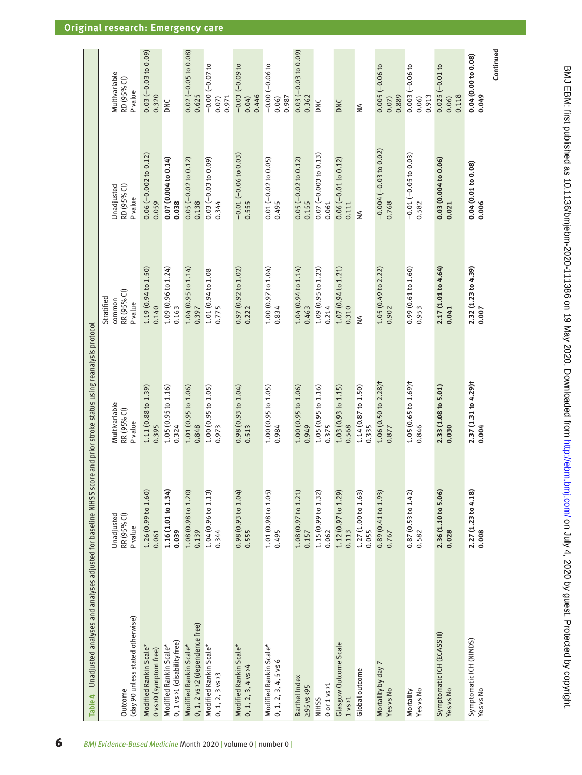<span id="page-5-0"></span>

| Unadjusted analyses and analyses adjusted for baseline NIHSS score and prior stroke status using reanalysis protocol<br>Table 4 |                                        |                                           |                                                       |                                     |                                        |
|---------------------------------------------------------------------------------------------------------------------------------|----------------------------------------|-------------------------------------------|-------------------------------------------------------|-------------------------------------|----------------------------------------|
| (day 90 unless stated otherwise)<br>Outcome                                                                                     | Unadjusted<br>RR (95% CI)<br>P value   | Multivariable<br>RR (95% CI)<br>Pvalue    | RR (95% CI)<br>Stratified<br>common<br><b>P</b> value | RD (95% CI)<br>Unadjusted<br>Pvalue | Multivariable<br>RD (95% CI)<br>Pvalue |
| Modified Rankin Scale*<br>0 vs > 0 (symptom free)                                                                               | 1.26(0.99 to 1.60)<br>0.061            | 1.11(0.88 to 1.39)<br>0.395               | 1.19 (0.94 to 1.50)<br>0.140                          | $0.06 (-0.002 to 0.12)$<br>0.059    | $0.03 (-0.03 to 0.09)$<br>0.320        |
| 0, 1 vs >1 (disability free)<br>Modified Rankin Scale*                                                                          | 1.16 (1.01 to 1.34)<br>0.039           | 1.05(0.95 to 1.16)<br>0.324               | 1.09 (0.96 to 1.24)<br>0.163                          | 0.07(0.004 to 0.14)<br>0.038        | DNC                                    |
| 0, 1, 2 vs > 2 (dependence free)<br>Modified Rankin Scale*                                                                      | 1.08 (0.98 to 1.20)<br>0.139           | 1.01(0.95 to 1.06)<br>0.848               | 1.04(0.95 to 1.14)<br>0.397                           | $0.05 (-0.02 to 0.12)$<br>0.138     | $0.02 (-0.05 to 0.08)$<br>0.625        |
| Modified Rankin Scale*<br>$0, 1, 2, 3$ vs >3                                                                                    | $1.04(0.96 \text{ to } 1.13)$<br>0.344 | 1.00(0.95 to 1.05)<br>0.973               | 1.01 (0.94 to 1.08<br>0.775                           | $0.03 (-0.03 to 0.09)$<br>0.344     | $-0.00 (-0.07 to$<br>0.971<br>0.07     |
| Modified Rankin Scale*<br>$0, 1, 2, 3, 4$ vs $\times$ 4                                                                         | 0.98(0.93 t 01.04)<br>0.555            | 0.98(0.93101.04)<br>0.513                 | 0.97(0.92 to 1.02)<br>0.222                           | $-0.01 (-0.06 to 0.03)$<br>0.555    | $-0.03(-0.09 to$<br>0.446<br>0.04)     |
| Modified Rankin Scale*<br>$0, 1, 2, 3, 4, 5$ vs 6                                                                               | 1.01 (0.98 to 1.05)<br>0.495           | 1.00(0.95 to 1.05)<br>0.984               | 1.00(0.97 to 1.04)<br>0.834                           | $0.01 (-0.02 to 0.05)$<br>0.495     | $-0.00 (-0.06 to$<br>0.987<br>0.06     |
| Barthel Index<br>$295$ vs $\langle 95$                                                                                          | 1.08 (0.97 to 1.21)<br>0.157           | 1.00(0.95 to 1.06)<br>0.949               | 1.04(0.94 to 1.14)<br>0.463                           | $0.05 (-0.02 to 0.12)$<br>0.155     | $0.03 (-0.03 to 0.09)$<br>0.362        |
| 0 or 1 vs >1<br><b>NIHSS</b>                                                                                                    | 1.15 (0.99 to 1.32)<br>0.062           | 1.05(0.95 to 1.16)<br>0.375               | 1.09 (0.95 to 1.23)<br>0.214                          | $0.07 (-0.003 to 0.13)$<br>0.061    | DNC                                    |
| Glasgow Outcome Scale<br>1 vS 1                                                                                                 | 1.12 (0.97 to 1.29)<br>0.113           | 1.03(0.93 to 1.15)<br>0.568               | 1.07(0.94 to 1.21)<br>0.310                           | $0.06 (-0.01 to 0.12)$<br>0.111     | DNC                                    |
| Global outcome                                                                                                                  | 1.27 (1.00 to 1.63)<br>0.055           | 1.14 (0.87 to 1.50)<br>0.335              | $\leq$                                                | ≸                                   | ₹                                      |
| Mortality by day 7<br>Yes vs No                                                                                                 | 0.89 (0.41 to 1.93)<br>0.767           | 1.06 (0.50 to 2.28) <sup>+</sup><br>0.877 | 1.05 (0.49 to 2.22)<br>0.902                          | $-0.004 (-0.03 to 0.02)$<br>0.768   | $0.005 (-0.06 to$<br>0.889<br>0.07     |
| Yes vs No<br>Mortality                                                                                                          | 0.87(0.53 to 1.42)<br>0.582            | 1.05 (0.65 to 1.69)t<br>0.846             | 0.99 (0.61 to 1.60)<br>0.953                          | $-0.01 (-0.05 to 0.03)$<br>0.582    | $0.003 (-0.06 to$<br>0.913<br>0.06     |
| Symptomatic ICH (ECASS II)<br>Yes vs No                                                                                         | 2.36 (1.10 to 5.06)<br>0.028           | 2.33 (1.08 to 5.01)<br>0.030              | 2.17 (1.01 to 4.64)<br>0.041                          | 0.03 (0.004 to 0.06)<br>0.021       | $0.025(-0.01 to$<br>0.118<br>0.06)     |
| Symptomatic ICH (NINDS)<br>Yes vs No                                                                                            | 2.27 (1.23 to 4.18)<br>0.008           | 2.37 (1.31 to 4.29) †<br>0.004            | 2.32 (1.23 to 4.39)<br>0.007                          | 0.04 (0.01 to 0.08)<br>0.006        | 0.04(0.00 to 0.08)<br>0.049            |
|                                                                                                                                 |                                        |                                           |                                                       |                                     | Continued                              |

# **Original research: Emergency care**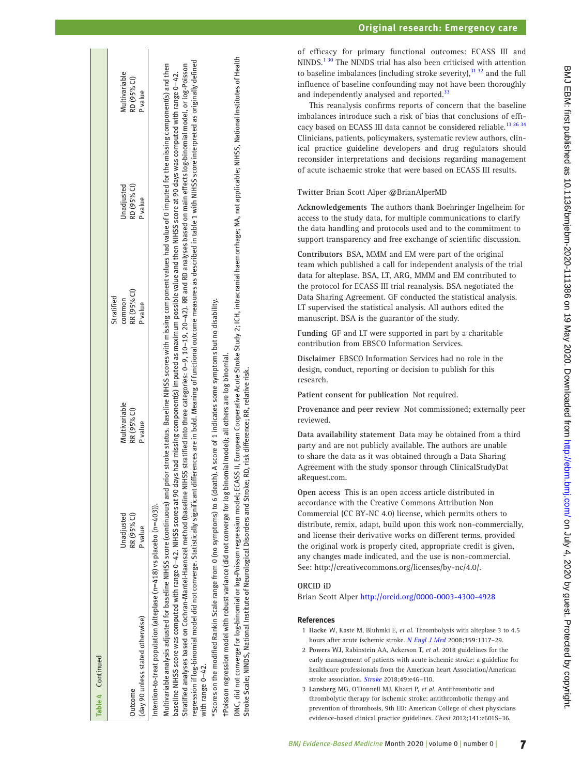| Table 4 Continued                                                                                                                                                                                                                                                                                                                                                                                                                                                                                                                                                                                                                                                                                                                                                                                                    |             |                                                                                                                                       |                |                |                |
|----------------------------------------------------------------------------------------------------------------------------------------------------------------------------------------------------------------------------------------------------------------------------------------------------------------------------------------------------------------------------------------------------------------------------------------------------------------------------------------------------------------------------------------------------------------------------------------------------------------------------------------------------------------------------------------------------------------------------------------------------------------------------------------------------------------------|-------------|---------------------------------------------------------------------------------------------------------------------------------------|----------------|----------------|----------------|
|                                                                                                                                                                                                                                                                                                                                                                                                                                                                                                                                                                                                                                                                                                                                                                                                                      |             |                                                                                                                                       | Stratified     |                |                |
|                                                                                                                                                                                                                                                                                                                                                                                                                                                                                                                                                                                                                                                                                                                                                                                                                      | Unadjusted  | Multivariable                                                                                                                         | common         | Unadjusted     | Multivariable  |
| <b>Outcome</b>                                                                                                                                                                                                                                                                                                                                                                                                                                                                                                                                                                                                                                                                                                                                                                                                       | RR (95% CI) | RR (95% CI)                                                                                                                           | RR (95% CI)    | RD (95% CI)    | RD (95% CI)    |
| (day 90 unless stated otherwise)                                                                                                                                                                                                                                                                                                                                                                                                                                                                                                                                                                                                                                                                                                                                                                                     | P value     | <b>P</b> value                                                                                                                        | <b>P</b> value | <b>P</b> value | <b>P</b> value |
| regression if log-binomial model did not converge. Statistically significant differences are in bold. Meaning of functional outcome measures as described in table 1 with NIHSS score interpreted as originally defined<br>Stratified analyses based on Cochran-Mantel-Haenszel method (baseline NHSS stratified into three categories: 0–9, 10–12). RR and RD analyses based on main effects log-binomial model, or log-Poisson<br>baseline NIHSS score was computed with range 0–42. NIHSS scores at 90 days had missing component(s) imputed as maximum possible value and then NIHSS score at 90 days was computed with range 0–42.<br>Multivariable analysis adjusted for baseline NIHSS score (continuous) and<br>Intention-to-treat population (alteplase (n=418) vs placebo (n=403)).<br>with range $0-42$ . |             | prior stroke status. Baseline NIHSS scores with missing component values had value of 0 imputed for the missing component(s) and then |                |                |                |
| *Scores on the modified Rankin Scale range from 0 (no symptoms) to 6 (death). A score of 1 indicates some symptoms but no disability.                                                                                                                                                                                                                                                                                                                                                                                                                                                                                                                                                                                                                                                                                |             |                                                                                                                                       |                |                |                |
|                                                                                                                                                                                                                                                                                                                                                                                                                                                                                                                                                                                                                                                                                                                                                                                                                      |             |                                                                                                                                       |                |                |                |

†Poisson regression model with robust variance (did not converge for log binomial model); all others are log binomial. not converge for log binomial model); all others are log binomial. ă variance **FROISSON regression model with robust** 

DNC, did not converge for log-binomial or log-Poisson regression model; ECASS II, European Cooperative Acute Stroke Study 2; ICH, intracranial haemorrhage; NA, not applicable; NIHSS, National Institutes of Health DNC, did not converge for log-binomial or log-Poisson regression model; ECASS II, European Cooperative Acute Stroke Study 2; ICH, intracranial haemorrhage; NA, not applicable; NIHSS, National Institutes of Health Stroke Scale; NINDS, National Institute of Neurological Disorders and Stroke; RD, risk difference; RR, relative risk. Stroke Scale; NINDS, National Institute of Neurological Disorders and Stroke; RD, risk difference; RR, relative risk.

of efficacy for primary functional outcomes: ECASS III and NINDS.<sup>[1 30](#page-6-0)</sup> The NINDS trial has also been criticised with attention to baseline imbalances (including stroke severity), $3132$  and the full influence of baseline confounding may not have been thoroughly and independently analysed and reported.<sup>33</sup>

This reanalysis confirms reports of concern that the baseline imbalances introduce such a risk of bias that conclusions of effi - cacy based on ECASS III data cannot be considered reliable.<sup>[13 26 34](#page-7-1)</sup> Clinicians, patients, policymakers, systematic review authors, clin ical practice guideline developers and drug regulators should reconsider interpretations and decisions regarding management of acute ischaemic stroke that were based on ECASS III results.

# **Twitter** Brian Scott Alper [@BrianAlperMD](https://twitter.com/BrianAlperMD)

**Acknowledgements** The authors thank Boehringer Ingelheim for access to the study data, for multiple communications to clarify the data handling and protocols used and to the commitment to support transparency and free exchange of scientific discussion.

**Contributors** BSA, MMM and EM were part of the original team which published a call for independent analysis of the trial data for alteplase. BSA, LT, ARG, MMM and EM contributed to the protocol for ECASS III trial reanalysis. BSA negotiated the Data Sharing Agreement. GF conducted the statistical analysis. LT supervised the statistical analysis. All authors edited the manuscript. BSA is the guarantor of the study.

**Funding** GF and LT were supported in part by a charitable contribution from EBSCO Information Services.

**Disclaimer** EBSCO Information Services had no role in the design, conduct, reporting or decision to publish for this research.

**Patient consent for publication** Not required.

**Provenance and peer review** Not commissioned; externally peer reviewed.

**Data availability statement** Data may be obtained from a third party and are not publicly available. The authors are unable to share the data as it was obtained through a Data Sharing Agreement with the study sponsor through ClinicalStudyDat aRequest.com.

**Open access** This is an open access article distributed in accordance with the Creative Commons Attribution Non Commercial (CC BY-NC 4.0) license, which permits others to distribute, remix, adapt, build upon this work non-commercially, and license their derivative works on different terms, provided the original work is properly cited, appropriate credit is given, any changes made indicated, and the use is non-commercial. See: [http://creativecommons.org/licenses/by-nc/4.0/.](http://creativecommons.org/licenses/by-nc/4.0/)

# **ORCID iD**

# Brian Scott Alper <http://orcid.org/0000-0003-4300-4928>

# **References**

- <span id="page-6-0"></span>1 **Hacke W**, Kaste M, Bluhmki E, *et al*. Thrombolysis with alteplase 3 to 4.5 hours after acute ischemic stroke. *[N Engl J Med](http://dx.doi.org/10.1056/NEJMoa0804656)* 2008;**359**:1317–29.
- <span id="page-6-1"></span>2 **Powers WJ**, Rabinstein AA, Ackerson T, *et al*. 2018 guidelines for the early management of patients with acute ischemic stroke: a guideline for healthcare professionals from the American heart Association/American stroke association. *[Stroke](http://dx.doi.org/10.1161/STR.0000000000000158)* 2018;**49**:e46–110.
- 3 **Lansberg MG**, O'Donnell MJ, Khatri P, *et al*. Antithrombotic and thrombolytic therapy for ischemic stroke: antithrombotic therapy and prevention of thrombosis, 9th ED: American College of chest physicians evidence-based clinical practice guidelines. *Chest* 2012;**141**:e601S–36.